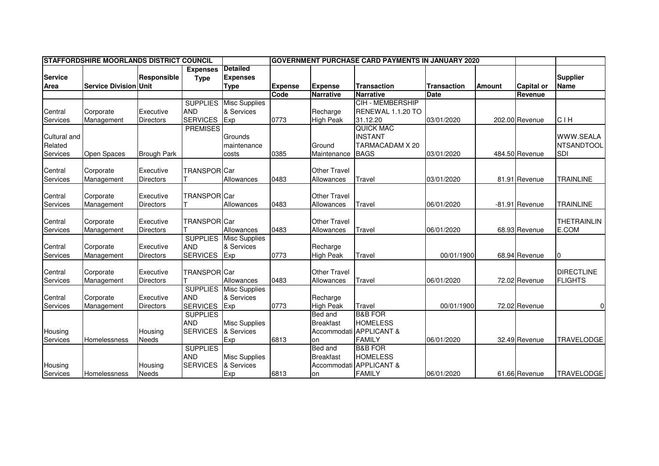| <b>ISTAFFORDSHIRE MOORLANDS DISTRICT COUNCIL</b> |                              |                    |                     |                      | IGOVERNMENT PURCHASE CARD PAYMENTS IN JANUARY 2020 |                     |                         |                    |               |                   |                    |
|--------------------------------------------------|------------------------------|--------------------|---------------------|----------------------|----------------------------------------------------|---------------------|-------------------------|--------------------|---------------|-------------------|--------------------|
|                                                  |                              |                    | <b>Expenses</b>     | <b>Detailed</b>      |                                                    |                     |                         |                    |               |                   |                    |
| <b>Service</b>                                   |                              | Responsible        | <b>Type</b>         | <b>Expenses</b>      |                                                    |                     |                         |                    |               |                   | <b>Supplier</b>    |
| Area                                             | <b>Service Division Unit</b> |                    |                     | <b>Type</b>          | <b>Expense</b>                                     | <b>Expense</b>      | <b>Transaction</b>      | <b>Transaction</b> | <b>Amount</b> | <b>Capital or</b> | <b>Name</b>        |
|                                                  |                              |                    |                     |                      | Code                                               | <b>Narrative</b>    | <b>Narrative</b>        | <b>Date</b>        |               | Revenue           |                    |
|                                                  |                              |                    | <b>SUPPLIES</b>     | <b>Misc Supplies</b> |                                                    |                     | CIH - MEMBERSHIP        |                    |               |                   |                    |
| Central                                          | Corporate                    | Executive          | <b>AND</b>          | & Services           |                                                    | Recharge            | RENEWAL 1.1.20 TO       |                    |               |                   |                    |
| Services                                         | Management                   | <b>Directors</b>   | <b>SERVICES</b>     | Exp                  | 0773                                               | <b>High Peak</b>    | 31.12.20                | 03/01/2020         |               | 202.00 Revenue    | <b>CIH</b>         |
|                                                  |                              |                    | <b>PREMISES</b>     |                      |                                                    |                     | <b>QUICK MAC</b>        |                    |               |                   |                    |
| Cultural and                                     |                              |                    |                     | Grounds              |                                                    |                     | <b>INSTANT</b>          |                    |               |                   | <b>WWW.SEALA</b>   |
| Related                                          |                              |                    |                     | maintenance          |                                                    | Ground              | TARMACADAM X 20         |                    |               |                   | <b>NTSANDTOOL</b>  |
| Services                                         | Open Spaces                  | <b>Brough Park</b> |                     | costs                | 0385                                               | Maintenance         | <b>BAGS</b>             | 03/01/2020         |               | 484.50 Revenue    | SDI                |
|                                                  |                              |                    |                     |                      |                                                    |                     |                         |                    |               |                   |                    |
| Central                                          | Corporate                    | Executive          | TRANSPOR Car        |                      |                                                    | <b>Other Travel</b> |                         |                    |               |                   |                    |
| Services                                         | Management                   | <b>Directors</b>   |                     | Allowances           | 0483                                               | Allowances          | Travel                  | 03/01/2020         |               | 81.91 Revenue     | <b>TRAINLINE</b>   |
|                                                  |                              |                    |                     |                      |                                                    |                     |                         |                    |               |                   |                    |
| Central                                          | Corporate                    | Executive          | <b>TRANSPOR</b> Car |                      |                                                    | Other Travel        |                         |                    |               |                   |                    |
| Services                                         | Management                   | <b>Directors</b>   |                     | Allowances           | 0483                                               | Allowances          | Travel                  | 06/01/2020         |               | -81.91 Revenue    | <b>TRAINLINE</b>   |
| Central                                          | Corporate                    | Executive          | <b>TRANSPORICar</b> |                      |                                                    | <b>Other Travel</b> |                         |                    |               |                   | <b>THETRAINLIN</b> |
| Services                                         | Management                   | <b>Directors</b>   |                     | Allowances           | 0483                                               | Allowances          | Travel                  | 06/01/2020         |               | 68.93 Revenue     | E.COM              |
|                                                  |                              |                    | <b>SUPPLIES</b>     | <b>Misc Supplies</b> |                                                    |                     |                         |                    |               |                   |                    |
| Central                                          | Corporate                    | Executive          | <b>AND</b>          | & Services           |                                                    | Recharge            |                         |                    |               |                   |                    |
| Services                                         | Management                   | <b>Directors</b>   | <b>SERVICES</b>     | Exp                  | 0773                                               | <b>High Peak</b>    | Travel                  | 00/01/1900         |               | 68.94 Revenue     | 10                 |
|                                                  |                              |                    |                     |                      |                                                    |                     |                         |                    |               |                   |                    |
| Central                                          | Corporate                    | Executive          | TRANSPOR Car        |                      |                                                    | <b>Other Travel</b> |                         |                    |               |                   | <b>DIRECTLINE</b>  |
| Services                                         | Management                   | Directors          |                     | Allowances           | 0483                                               | Allowances          | Travel                  | 06/01/2020         |               | 72.02 Revenue     | <b>FLIGHTS</b>     |
|                                                  |                              |                    | <b>SUPPLIES</b>     | <b>Misc Supplies</b> |                                                    |                     |                         |                    |               |                   |                    |
| Central                                          | Corporate                    | Executive          | <b>AND</b>          | & Services           |                                                    | Recharge            |                         |                    |               |                   |                    |
| <b>Services</b>                                  | Management                   | <b>Directors</b>   | <b>SERVICES</b>     | Exp                  | 0773                                               | <b>High Peak</b>    | Travel                  | 00/01/1900         |               | 72.02 Revenue     | $\Omega$           |
|                                                  |                              |                    | <b>SUPPLIES</b>     |                      |                                                    | Bed and             | <b>B&amp;B FOR</b>      |                    |               |                   |                    |
|                                                  |                              |                    | <b>AND</b>          | <b>Misc Supplies</b> |                                                    | <b>Breakfast</b>    | <b>HOMELESS</b>         |                    |               |                   |                    |
| Housing                                          |                              | Housing            | <b>SERVICES</b>     | & Services           |                                                    |                     | Accommodati APPLICANT & |                    |               |                   |                    |
| Services                                         | Homelessness                 | Needs              |                     | Exp                  | 6813                                               | on                  | <b>FAMILY</b>           | 06/01/2020         |               | 32.49 Revenue     | <b>TRAVELODGE</b>  |
|                                                  |                              |                    | <b>SUPPLIES</b>     |                      |                                                    | Bed and             | <b>B&amp;B FOR</b>      |                    |               |                   |                    |
|                                                  |                              |                    | <b>AND</b>          | <b>Misc Supplies</b> |                                                    | <b>Breakfast</b>    | <b>HOMELESS</b>         |                    |               |                   |                    |
| Housing                                          |                              | Housing            | <b>SERVICES</b>     | & Services           |                                                    |                     | Accommodati APPLICANT & |                    |               |                   |                    |
| Services                                         | Homelessness                 | <b>Needs</b>       |                     | Exp                  | 6813                                               | on                  | <b>FAMILY</b>           | 06/01/2020         |               | 61.66 Revenue     | <b>TRAVELODGE</b>  |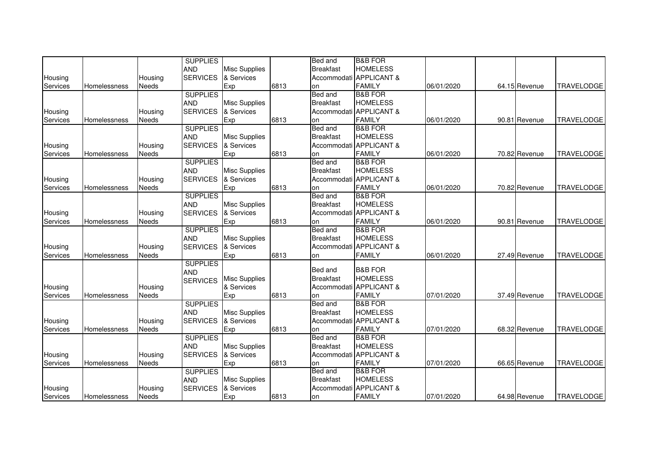|          |              |         | <b>SUPPLIES</b> |                      |      | Bed and          | <b>B&amp;B FOR</b>      |            |               |                   |
|----------|--------------|---------|-----------------|----------------------|------|------------------|-------------------------|------------|---------------|-------------------|
|          |              |         | <b>AND</b>      | <b>Misc Supplies</b> |      | <b>Breakfast</b> | <b>HOMELESS</b>         |            |               |                   |
| Housing  |              | Housing | <b>SERVICES</b> | & Services           |      |                  | Accommodati APPLICANT & |            |               |                   |
| Services | Homelessness | Needs   |                 | Exp                  | 6813 | on               | <b>FAMILY</b>           | 06/01/2020 | 64.15 Revenue | <b>TRAVELODGE</b> |
|          |              |         | <b>SUPPLIES</b> |                      |      | Bed and          | <b>B&amp;B FOR</b>      |            |               |                   |
|          |              |         | <b>AND</b>      | <b>Misc Supplies</b> |      | <b>Breakfast</b> | <b>HOMELESS</b>         |            |               |                   |
| Housing  |              | Housing | <b>SERVICES</b> | & Services           |      |                  | Accommodati APPLICANT & |            |               |                   |
| Services | Homelessness | Needs   |                 | Exp                  | 6813 | on               | <b>FAMILY</b>           | 06/01/2020 | 90.81 Revenue | <b>TRAVELODGE</b> |
|          |              |         | <b>SUPPLIES</b> |                      |      | Bed and          | <b>B&amp;B FOR</b>      |            |               |                   |
|          |              |         | <b>AND</b>      | <b>Misc Supplies</b> |      | <b>Breakfast</b> | <b>HOMELESS</b>         |            |               |                   |
| Housing  |              | Housing | <b>SERVICES</b> | & Services           |      | Accommodati      | <b>APPLICANT &amp;</b>  |            |               |                   |
| Services | Homelessness | Needs   |                 | Exp                  | 6813 | on               | <b>FAMILY</b>           | 06/01/2020 | 70.82 Revenue | <b>TRAVELODGE</b> |
|          |              |         | <b>SUPPLIES</b> |                      |      | Bed and          | <b>B&amp;B FOR</b>      |            |               |                   |
|          |              |         | <b>AND</b>      | <b>Misc Supplies</b> |      | <b>Breakfast</b> | <b>HOMELESS</b>         |            |               |                   |
| Housing  |              | Housing | <b>SERVICES</b> | & Services           |      |                  | Accommodati APPLICANT & |            |               |                   |
| Services | Homelessness | Needs   |                 | Exp                  | 6813 | <b>on</b>        | <b>FAMILY</b>           | 06/01/2020 | 70.82 Revenue | <b>TRAVELODGE</b> |
|          |              |         | <b>SUPPLIES</b> |                      |      | Bed and          | <b>B&amp;B FOR</b>      |            |               |                   |
|          |              |         | <b>AND</b>      | <b>Misc Supplies</b> |      | <b>Breakfast</b> | <b>HOMELESS</b>         |            |               |                   |
| Housing  |              | Housing | <b>SERVICES</b> | & Services           |      |                  | Accommodati APPLICANT & |            |               |                   |
| Services | Homelessness | Needs   |                 | Exp                  | 6813 | on               | <b>FAMILY</b>           | 06/01/2020 | 90.81 Revenue | <b>TRAVELODGE</b> |
|          |              |         | <b>SUPPLIES</b> |                      |      | Bed and          | <b>B&amp;B FOR</b>      |            |               |                   |
|          |              |         | <b>AND</b>      | <b>Misc Supplies</b> |      | <b>Breakfast</b> | <b>HOMELESS</b>         |            |               |                   |
| Housing  |              | Housing | <b>SERVICES</b> | & Services           |      | Accommodati      | <b>APPLICANT &amp;</b>  |            |               |                   |
| Services | Homelessness | Needs   |                 | Exp                  | 6813 | on               | <b>FAMILY</b>           | 06/01/2020 | 27.49 Revenue | <b>TRAVELODGE</b> |
|          |              |         | <b>SUPPLIES</b> |                      |      |                  |                         |            |               |                   |
|          |              |         | <b>AND</b>      |                      |      | Bed and          | <b>B&amp;B FOR</b>      |            |               |                   |
|          |              |         | <b>SERVICES</b> | <b>Misc Supplies</b> |      | <b>Breakfast</b> | <b>HOMELESS</b>         |            |               |                   |
| Housing  |              | Housing |                 | & Services           |      | Accommodati      | <b>APPLICANT &amp;</b>  |            |               |                   |
| Services | Homelessness | Needs   |                 | Exp                  | 6813 | on               | <b>FAMILY</b>           | 07/01/2020 | 37.49 Revenue | <b>TRAVELODGE</b> |
|          |              |         | <b>SUPPLIES</b> |                      |      | Bed and          | <b>B&amp;B FOR</b>      |            |               |                   |
|          |              |         | <b>AND</b>      | <b>Misc Supplies</b> |      | <b>Breakfast</b> | <b>HOMELESS</b>         |            |               |                   |
| Housing  |              | Housing | <b>SERVICES</b> | & Services           |      | Accommodati      | <b>APPLICANT &amp;</b>  |            |               |                   |
| Services | Homelessness | Needs   |                 | Exp                  | 6813 | on               | <b>FAMILY</b>           | 07/01/2020 | 68.32 Revenue | <b>TRAVELODGE</b> |
|          |              |         | <b>SUPPLIES</b> |                      |      | Bed and          | <b>B&amp;B FOR</b>      |            |               |                   |
|          |              |         | <b>AND</b>      | <b>Misc Supplies</b> |      | <b>Breakfast</b> | <b>HOMELESS</b>         |            |               |                   |
| Housing  |              | Housing | <b>SERVICES</b> | & Services           |      |                  | Accommodati APPLICANT & |            |               |                   |
| Services | Homelessness | Needs   |                 | Exp                  | 6813 | lon              | <b>FAMILY</b>           | 07/01/2020 | 66.65 Revenue | <b>TRAVELODGE</b> |
|          |              |         | <b>SUPPLIES</b> |                      |      | Bed and          | <b>B&amp;B FOR</b>      |            |               |                   |
|          |              |         | <b>AND</b>      | <b>Misc Supplies</b> |      | <b>Breakfast</b> | <b>HOMELESS</b>         |            |               |                   |
| Housing  |              | Housing | <b>SERVICES</b> | & Services           |      |                  | Accommodati APPLICANT & |            |               |                   |
| Services | Homelessness | Needs   |                 | Exp                  | 6813 | on               | <b>FAMILY</b>           | 07/01/2020 | 64.98 Revenue | <b>TRAVELODGE</b> |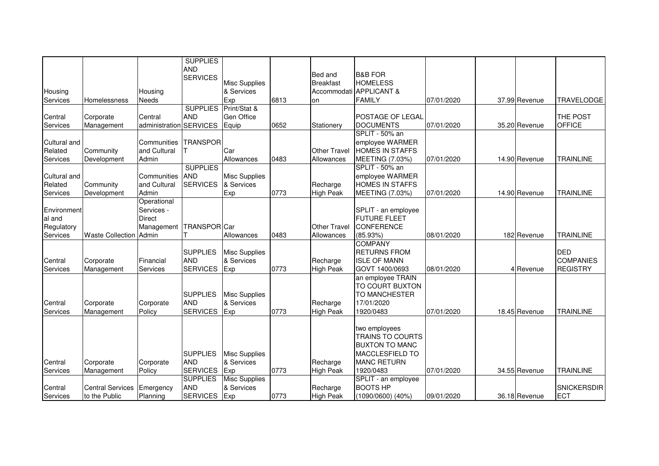|              |                         |                | <b>SUPPLIES</b>         |                      |      |                     |                                          |            |               |                    |
|--------------|-------------------------|----------------|-------------------------|----------------------|------|---------------------|------------------------------------------|------------|---------------|--------------------|
|              |                         |                | <b>AND</b>              |                      |      |                     |                                          |            |               |                    |
|              |                         |                | <b>SERVICES</b>         |                      |      | Bed and             | <b>B&amp;B FOR</b>                       |            |               |                    |
|              |                         |                |                         | <b>Misc Supplies</b> |      | <b>Breakfast</b>    | <b>HOMELESS</b>                          |            |               |                    |
| Housing      |                         | Housing        |                         | & Services           |      |                     | Accommodati APPLICANT &                  |            |               |                    |
| Services     | Homelessness            | <b>Needs</b>   |                         | Exp                  | 6813 | on                  | <b>FAMILY</b>                            | 07/01/2020 | 37.99 Revenue | <b>TRAVELODGE</b>  |
|              |                         |                | <b>SUPPLIES</b>         | Print/Stat &         |      |                     |                                          |            |               |                    |
| Central      | Corporate               | Central        | <b>AND</b>              | <b>Gen Office</b>    |      |                     | <b>POSTAGE OF LEGAL</b>                  |            |               | THE POST           |
| Services     | Management              | administration | <b>SERVICES</b>         | Equip                | 0652 | Stationery          | <b>DOCUMENTS</b>                         | 07/01/2020 | 35.20 Revenue | <b>OFFICE</b>      |
|              |                         |                |                         |                      |      |                     | SPLIT - 50% an                           |            |               |                    |
| Cultural and |                         | Communities    | <b>TRANSPOR</b>         |                      |      |                     | employee WARMER                          |            |               |                    |
| Related      | Community               | and Cultural   |                         | Car                  |      | <b>Other Travel</b> | HOMES IN STAFFS                          |            |               |                    |
| Services     | Development             | Admin          |                         | Allowances           | 0483 | Allowances          | MEETING (7.03%)                          | 07/01/2020 | 14.90 Revenue | <b>TRAINLINE</b>   |
|              |                         |                | <b>SUPPLIES</b>         |                      |      |                     | SPLIT - 50% an                           |            |               |                    |
| Cultural and |                         | Communities    | <b>AND</b>              | <b>Misc Supplies</b> |      |                     | employee WARMER                          |            |               |                    |
| Related      | Community               | and Cultural   | <b>SERVICES</b>         | & Services           |      | Recharge            | <b>HOMES IN STAFFS</b>                   |            |               |                    |
| Services     | Development             | Admin          |                         | Exp                  | 0773 | <b>High Peak</b>    | MEETING (7.03%)                          | 07/01/2020 | 14.90 Revenue | <b>TRAINLINE</b>   |
|              |                         | Operational    |                         |                      |      |                     |                                          |            |               |                    |
| Environment  |                         | Services -     |                         |                      |      |                     |                                          |            |               |                    |
|              |                         |                |                         |                      |      |                     | SPLIT - an employee                      |            |               |                    |
| al and       |                         | <b>Direct</b>  |                         |                      |      |                     | <b>FUTURE FLEET</b>                      |            |               |                    |
| Regulatory   |                         | Management     | TRANSPOR <sub>Car</sub> |                      |      | <b>Other Travel</b> | <b>CONFERENCE</b>                        |            |               |                    |
| Services     | <b>Waste Collection</b> | Admin          |                         | Allowances           | 0483 | Allowances          | $(85.93\%)$                              | 08/01/2020 | 182 Revenue   | <b>TRAINLINE</b>   |
|              |                         |                |                         |                      |      |                     | <b>COMPANY</b>                           |            |               |                    |
|              |                         |                | <b>SUPPLIES</b>         | <b>Misc Supplies</b> |      |                     | <b>RETURNS FROM</b>                      |            |               | <b>DED</b>         |
| Central      | Corporate               | Financial      | <b>AND</b>              | & Services           |      | Recharge            | <b>ISLE OF MANN</b>                      |            |               | <b>COMPANIES</b>   |
| Services     | Management              | Services       | <b>SERVICES</b>         | Exp                  | 0773 | <b>High Peak</b>    | GOVT 1400/0693                           | 08/01/2020 | 4 Revenue     | <b>REGISTRY</b>    |
|              |                         |                |                         |                      |      |                     | an employee TRAIN                        |            |               |                    |
|              |                         |                |                         |                      |      |                     | TO COURT BUXTON                          |            |               |                    |
|              |                         |                | <b>SUPPLIES</b>         | <b>Misc Supplies</b> |      |                     | <b>TO MANCHESTER</b>                     |            |               |                    |
| Central      | Corporate               | Corporate      | <b>AND</b>              | & Services           |      | Recharge            | 17/01/2020                               |            |               |                    |
| Services     | Management              | Policy         | <b>SERVICES</b>         | Exp                  | 0773 | <b>High Peak</b>    | 1920/0483                                | 07/01/2020 | 18.45 Revenue | <b>TRAINLINE</b>   |
|              |                         |                |                         |                      |      |                     |                                          |            |               |                    |
|              |                         |                |                         |                      |      |                     |                                          |            |               |                    |
|              |                         |                |                         |                      |      |                     | two employees<br><b>TRAINS TO COURTS</b> |            |               |                    |
|              |                         |                |                         |                      |      |                     |                                          |            |               |                    |
|              |                         |                |                         |                      |      |                     | <b>BUXTON TO MANC</b>                    |            |               |                    |
|              |                         |                | <b>SUPPLIES</b>         | <b>Misc Supplies</b> |      |                     | <b>MACCLESFIELD TO</b>                   |            |               |                    |
| Central      | Corporate               | Corporate      | <b>AND</b>              | & Services           |      | Recharge            | <b>MANC RETURN</b>                       |            |               |                    |
| Services     | Management              | Policy         | <b>SERVICES</b>         | Exp                  | 0773 | High Peak           | 1920/0483                                | 07/01/2020 | 34.55 Revenue | <b>TRAINLINE</b>   |
|              |                         |                | <b>SUPPLIES</b>         | <b>Misc Supplies</b> |      |                     | SPLIT - an employee                      |            |               |                    |
| Central      | <b>Central Services</b> | Emergency      | <b>AND</b>              | & Services           |      | Recharge            | <b>BOOTS HP</b>                          |            |               | <b>SNICKERSDIR</b> |
| Services     | to the Public           | Planning       | <b>SERVICES</b>         | Exp                  | 0773 | <b>High Peak</b>    | $(1090/0600)$ $(40%)$                    | 09/01/2020 | 36.18 Revenue | ECT                |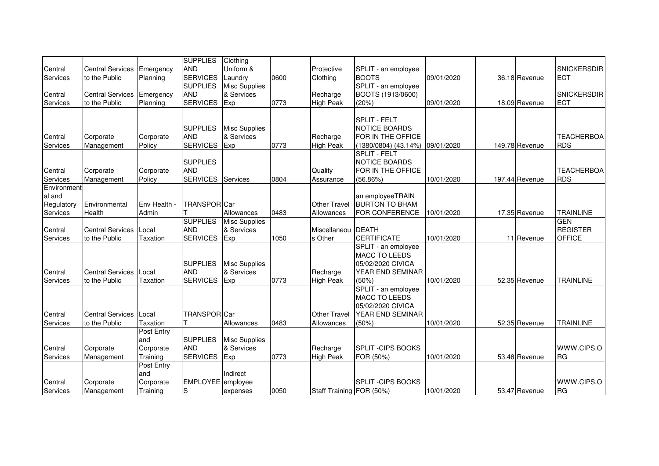|             |                         |                 | <b>SUPPLIES</b>   | Clothing             |      |                          |                           |            |                |                    |
|-------------|-------------------------|-----------------|-------------------|----------------------|------|--------------------------|---------------------------|------------|----------------|--------------------|
| Central     | <b>Central Services</b> | Emergency       | <b>AND</b>        | Uniform &            |      | Protective               | SPLIT - an employee       |            |                | <b>SNICKERSDIR</b> |
| Services    | to the Public           |                 | <b>SERVICES</b>   | Laundry              | 0600 | Clothing                 | <b>BOOTS</b>              | 09/01/2020 | 36.18 Revenue  | <b>ECT</b>         |
|             |                         | Planning        | <b>SUPPLIES</b>   |                      |      |                          |                           |            |                |                    |
|             |                         |                 |                   | <b>Misc Supplies</b> |      |                          | SPLIT - an employee       |            |                |                    |
| Central     | <b>Central Services</b> | Emergency       | <b>AND</b>        | & Services           |      | Recharge                 | BOOTS (1913/0600)         |            |                | <b>SNICKERSDIR</b> |
| Services    | to the Public           | Planning        | <b>SERVICES</b>   | Exp                  | 0773 | <b>High Peak</b>         | (20%)                     | 09/01/2020 | 18.09 Revenue  | <b>ECT</b>         |
|             |                         |                 |                   |                      |      |                          | SPLIT - FELT              |            |                |                    |
|             |                         |                 | <b>SUPPLIES</b>   | <b>Misc Supplies</b> |      |                          | NOTICE BOARDS             |            |                |                    |
| Central     | Corporate               | Corporate       | <b>AND</b>        | & Services           |      | Recharge                 | <b>FOR IN THE OFFICE</b>  |            |                | <b>TEACHERBOA</b>  |
| Services    | Management              | Policy          | <b>SERVICES</b>   | Exp                  | 0773 | <b>High Peak</b>         | $(1380/0804)$ $(43.14\%)$ | 09/01/2020 | 149.78 Revenue | <b>RDS</b>         |
|             |                         |                 |                   |                      |      |                          | <b>SPLIT - FELT</b>       |            |                |                    |
|             |                         |                 | <b>SUPPLIES</b>   |                      |      |                          | NOTICE BOARDS             |            |                |                    |
| Central     | Corporate               | Corporate       | <b>AND</b>        |                      |      | Quality                  | FOR IN THE OFFICE         |            |                | <b>TEACHERBOA</b>  |
| Services    | Management              | Policy          | <b>SERVICES</b>   | Services             | 0804 | Assurance                | (56.86%)                  | 10/01/2020 | 197.44 Revenue | <b>RDS</b>         |
| Environment |                         |                 |                   |                      |      |                          |                           |            |                |                    |
| al and      |                         |                 |                   |                      |      |                          | an employeeTRAIN          |            |                |                    |
|             |                         |                 |                   |                      |      |                          | <b>BURTON TO BHAM</b>     |            |                |                    |
| Regulatory  | Environmental           | Env Health -    | TRANSPOR Car      |                      |      | Other Travel             |                           |            |                |                    |
| Services    | Health                  | Admin           |                   | Allowances           | 0483 | Allowances               | <b>FOR CONFERENCE</b>     | 10/01/2020 | 17.35 Revenue  | <b>TRAINLINE</b>   |
|             |                         |                 | <b>SUPPLIES</b>   | <b>Misc Supplies</b> |      |                          |                           |            |                | <b>GEN</b>         |
| Central     | <b>Central Services</b> | Local           | <b>AND</b>        | & Services           |      | Miscellaneou             | <b>DEATH</b>              |            |                | <b>REGISTER</b>    |
| Services    | to the Public           | <b>Taxation</b> | <b>SERVICES</b>   | Exp                  | 1050 | s Other                  | <b>CERTIFICATE</b>        | 10/01/2020 | 11 Revenue     | <b>OFFICE</b>      |
|             |                         |                 |                   |                      |      |                          | SPLIT - an employee       |            |                |                    |
|             |                         |                 |                   |                      |      |                          | <b>MACC TO LEEDS</b>      |            |                |                    |
|             |                         |                 | <b>SUPPLIES</b>   | <b>Misc Supplies</b> |      |                          | 05/02/2020 CIVICA         |            |                |                    |
| Central     | <b>Central Services</b> | Local           | <b>AND</b>        | & Services           |      | Recharge                 | YEAR END SEMINAR          |            |                |                    |
| Services    | to the Public           | <b>Taxation</b> | <b>SERVICES</b>   | Exp                  | 0773 | <b>High Peak</b>         | (50%)                     | 10/01/2020 | 52.35 Revenue  | <b>TRAINLINE</b>   |
|             |                         |                 |                   |                      |      |                          | SPLIT - an employee       |            |                |                    |
|             |                         |                 |                   |                      |      |                          | <b>MACC TO LEEDS</b>      |            |                |                    |
|             |                         |                 |                   |                      |      |                          | 05/02/2020 CIVICA         |            |                |                    |
| Central     | <b>Central Services</b> | Local           | TRANSPOR Car      |                      |      | <b>Other Travel</b>      | YEAR END SEMINAR          |            |                |                    |
| Services    | to the Public           | Taxation        |                   | Allowances           | 0483 | Allowances               | (50%)                     | 10/01/2020 | 52.35 Revenue  | <b>TRAINLINE</b>   |
|             |                         | Post Entry      |                   |                      |      |                          |                           |            |                |                    |
|             |                         | and             | <b>SUPPLIES</b>   | <b>Misc Supplies</b> |      |                          |                           |            |                |                    |
| Central     | Corporate               |                 | <b>AND</b>        | & Services           |      | Recharge                 | <b>SPLIT - CIPS BOOKS</b> |            |                | WWW.CIPS.O         |
|             |                         | Corporate       |                   |                      |      |                          |                           |            |                |                    |
| Services    | Management              | Training        | <b>SERVICES</b>   | Exp                  | 0773 | <b>High Peak</b>         | FOR (50%)                 | 10/01/2020 | 53.48 Revenue  | <b>IRG</b>         |
|             |                         | Post Entry      |                   |                      |      |                          |                           |            |                |                    |
|             |                         | and             |                   | Indirect             |      |                          |                           |            |                |                    |
| Central     | Corporate               | Corporate       | EMPLOYEE employee |                      |      |                          | <b>SPLIT - CIPS BOOKS</b> |            |                | WWW.CIPS.O         |
| Services    | Management              | Training        | $\mathsf S$       | expenses             | 0050 | Staff Training FOR (50%) |                           | 10/01/2020 | 53.47 Revenue  | <b>RG</b>          |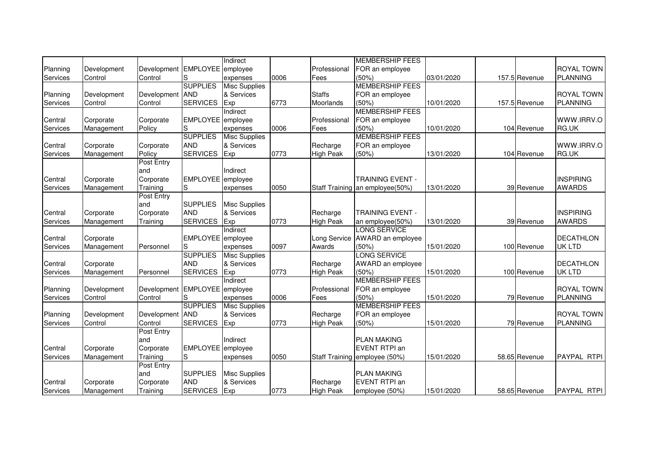|          |             |                               |                   | Indirect             |      |                  | <b>MEMBERSHIP FEES</b>          |            |               |                   |
|----------|-------------|-------------------------------|-------------------|----------------------|------|------------------|---------------------------------|------------|---------------|-------------------|
| Planning | Development | Development EMPLOYEE employee |                   |                      |      | Professional     | FOR an employee                 |            |               | <b>ROYAL TOWN</b> |
| Services | Control     | Control                       | lS                | expenses             | 0006 | Fees             | (50%)                           | 03/01/2020 | 157.5 Revenue | <b>PLANNING</b>   |
|          |             |                               | <b>SUPPLIES</b>   | <b>Misc Supplies</b> |      |                  | <b>MEMBERSHIP FEES</b>          |            |               |                   |
| Planning | Development | Development                   | <b>AND</b>        | & Services           |      | <b>Staffs</b>    | FOR an employee                 |            |               | <b>ROYAL TOWN</b> |
| Services | Control     | Control                       | <b>SERVICES</b>   | Exp                  | 6773 | Moorlands        | (50%)                           | 10/01/2020 | 157.5 Revenue | <b>PLANNING</b>   |
|          |             |                               |                   | Indirect             |      |                  | <b>MEMBERSHIP FEES</b>          |            |               |                   |
| Central  | Corporate   | Corporate                     | EMPLOYEE employee |                      |      | Professional     | FOR an employee                 |            |               | WWW.IRRV.O        |
| Services | Management  | Policy                        | lS                | expenses             | 0006 | Fees             | (50%)                           | 10/01/2020 | 104 Revenue   | RG.UK             |
|          |             |                               | <b>SUPPLIES</b>   | Misc Supplies        |      |                  | <b>MEMBERSHIP FEES</b>          |            |               |                   |
| Central  | Corporate   | Corporate                     | <b>AND</b>        | & Services           |      | Recharge         | FOR an employee                 |            |               | WWW.IRRV.O        |
| Services | Management  | Policy                        | <b>SERVICES</b>   | Exp                  | 0773 | <b>High Peak</b> | (50%)                           | 13/01/2020 | 104 Revenue   | RG.UK             |
|          |             | Post Entry                    |                   |                      |      |                  |                                 |            |               |                   |
|          |             | and                           |                   | Indirect             |      |                  |                                 |            |               |                   |
| Central  | Corporate   | Corporate                     | EMPLOYEE employee |                      |      |                  | <b>TRAINING EVENT -</b>         |            |               | <b>INSPIRING</b>  |
| Services | Management  | Training                      | lS                | expenses             | 0050 |                  | Staff Training an employee(50%) | 13/01/2020 | 39 Revenue    | <b>AWARDS</b>     |
|          |             | Post Entry                    |                   |                      |      |                  |                                 |            |               |                   |
|          |             | and                           | <b>SUPPLIES</b>   | <b>Misc Supplies</b> |      |                  |                                 |            |               |                   |
| Central  | Corporate   | Corporate                     | <b>AND</b>        | & Services           |      | Recharge         | <b>TRAINING EVENT -</b>         |            |               | <b>INSPIRING</b>  |
| Services | Management  | Training                      | <b>SERVICES</b>   | Exp                  | 0773 | <b>High Peak</b> | an employee(50%)                | 13/01/2020 | 39 Revenue    | <b>AWARDS</b>     |
|          |             |                               |                   | Indirect             |      |                  | <b>LONG SERVICE</b>             |            |               |                   |
| Central  | Corporate   |                               | EMPLOYEE employee |                      |      | Long Service     | AWARD an employee               |            |               | <b>DECATHLON</b>  |
| Services | Management  | Personnel                     | S                 | expenses             | 0097 | Awards           | (50%)                           | 15/01/2020 | 100 Revenue   | <b>UK LTD</b>     |
|          |             |                               | <b>SUPPLIES</b>   | <b>Misc Supplies</b> |      |                  | <b>LONG SERVICE</b>             |            |               |                   |
| Central  | Corporate   |                               | <b>AND</b>        | & Services           |      | Recharge         | AWARD an employee               |            |               | <b>DECATHLON</b>  |
| Services | Management  | Personnel                     | <b>SERVICES</b>   | Exp                  | 0773 | <b>High Peak</b> | (50%)                           | 15/01/2020 | 100 Revenue   | <b>UK LTD</b>     |
|          |             |                               |                   | Indirect             |      |                  | <b>MEMBERSHIP FEES</b>          |            |               |                   |
| Planning | Development | Development EMPLOYEE employee |                   |                      |      | Professional     | FOR an employee                 |            |               | <b>ROYAL TOWN</b> |
| Services | Control     | Control                       | IS                | expenses             | 0006 | Fees             | (50%)                           | 15/01/2020 | 79 Revenue    | <b>PLANNING</b>   |
|          |             |                               | <b>SUPPLIES</b>   | <b>Misc Supplies</b> |      |                  | <b>MEMBERSHIP FEES</b>          |            |               |                   |
| Planning | Development | Development AND               |                   | & Services           |      | Recharge         | FOR an employee                 |            |               | <b>ROYAL TOWN</b> |
| Services | Control     | Control                       | <b>SERVICES</b>   | Exp                  | 0773 | <b>High Peak</b> | (50%)                           | 15/01/2020 | 79 Revenue    | <b>PLANNING</b>   |
|          |             | Post Entry                    |                   |                      |      |                  |                                 |            |               |                   |
|          |             | and                           |                   | Indirect             |      |                  | <b>PLAN MAKING</b>              |            |               |                   |
| Central  | Corporate   | Corporate                     | EMPLOYEE employee |                      |      |                  | <b>EVENT RTPI an</b>            |            |               |                   |
| Services | Management  | Training                      | lS                | expenses             | 0050 |                  | Staff Training employee (50%)   | 15/01/2020 | 58.65 Revenue | PAYPAL RTPI       |
|          |             | Post Entry                    |                   |                      |      |                  |                                 |            |               |                   |
|          |             | and                           | <b>SUPPLIES</b>   | <b>Misc Supplies</b> |      |                  | <b>PLAN MAKING</b>              |            |               |                   |
| Central  | Corporate   | Corporate                     | <b>AND</b>        | & Services           |      | Recharge         | EVENT RTPI an                   |            |               |                   |
| Services | Management  | Training                      | <b>SERVICES</b>   | Exp                  | 0773 | <b>High Peak</b> | employee (50%)                  | 15/01/2020 | 58.65 Revenue | PAYPAL RTPI       |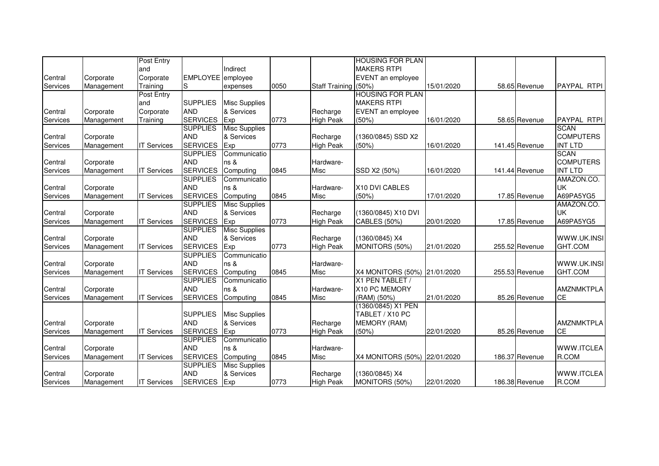|          |            | Post Entry         |                   |                      |      |                      | <b>HOUSING FOR PLAN</b>      |            |                |                    |
|----------|------------|--------------------|-------------------|----------------------|------|----------------------|------------------------------|------------|----------------|--------------------|
|          |            | and                |                   | Indirect             |      |                      | <b>MAKERS RTPI</b>           |            |                |                    |
| Central  | Corporate  | Corporate          | EMPLOYEE employee |                      |      |                      | EVENT an employee            |            |                |                    |
| Services | Management | Training           | S                 | expenses             | 0050 | Staff Training (50%) |                              | 15/01/2020 | 58.65 Revenue  | <b>PAYPAL RTPI</b> |
|          |            | Post Entry         |                   |                      |      |                      | <b>HOUSING FOR PLAN</b>      |            |                |                    |
|          |            | and                | <b>SUPPLIES</b>   | <b>Misc Supplies</b> |      |                      | <b>MAKERS RTPI</b>           |            |                |                    |
| Central  | Corporate  | Corporate          | <b>AND</b>        | & Services           |      | Recharge             | EVENT an employee            |            |                |                    |
| Services | Management | Training           | <b>SERVICES</b>   | Exp                  | 0773 | <b>High Peak</b>     | (50%)                        | 16/01/2020 | 58.65 Revenue  | PAYPAL RTPI        |
|          |            |                    | <b>SUPPLIES</b>   | <b>Misc Supplies</b> |      |                      |                              |            |                | <b>SCAN</b>        |
| Central  | Corporate  |                    | <b>AND</b>        | & Services           |      | Recharge             | (1360/0845) SSD X2           |            |                | <b>COMPUTERS</b>   |
| Services | Management | <b>IT Services</b> | <b>SERVICES</b>   | Exp                  | 0773 | <b>High Peak</b>     | (50%)                        | 16/01/2020 | 141.45 Revenue | <b>INT LTD</b>     |
|          |            |                    | <b>SUPPLIES</b>   | Communicatio         |      |                      |                              |            |                | <b>SCAN</b>        |
| Central  | Corporate  |                    | <b>AND</b>        | ns &                 |      | Hardware-            |                              |            |                | <b>COMPUTERS</b>   |
| Services | Management | <b>IT Services</b> | <b>SERVICES</b>   | Computing            | 0845 | Misc                 | SSD X2 (50%)                 | 16/01/2020 | 141.44 Revenue | <b>INT LTD</b>     |
|          |            |                    | <b>SUPPLIES</b>   | Communicatio         |      |                      |                              |            |                | AMAZON.CO.         |
| Central  | Corporate  |                    | <b>AND</b>        | ns &                 |      | Hardware-            | X10 DVI CABLES               |            |                | <b>UK</b>          |
| Services | Management | <b>IT Services</b> | <b>SERVICES</b>   | Computing            | 0845 | Misc                 | (50%)                        | 17/01/2020 | 17.85 Revenue  | A69PA5YG5          |
|          |            |                    | <b>SUPPLIES</b>   | <b>Misc Supplies</b> |      |                      |                              |            |                | AMAZON.CO.         |
| Central  | Corporate  |                    | <b>AND</b>        | & Services           |      | Recharge             | (1360/0845) X10 DVI          |            |                | <b>UK</b>          |
| Services | Management | <b>IT Services</b> | <b>SERVICES</b>   | Exp                  | 0773 | <b>High Peak</b>     | CABLES (50%)                 | 20/01/2020 | 17.85 Revenue  | A69PA5YG5          |
|          |            |                    | <b>SUPPLIES</b>   | <b>Misc Supplies</b> |      |                      |                              |            |                |                    |
| Central  | Corporate  |                    | <b>AND</b>        | & Services           |      | Recharge             | (1360/0845) X4               |            |                | WWW.UK.INSI        |
| Services | Management | <b>IT Services</b> | <b>SERVICES</b>   | Exp                  | 0773 | <b>High Peak</b>     | MONITORS (50%)               | 21/01/2020 | 255.52 Revenue | GHT.COM            |
|          |            |                    | <b>SUPPLIES</b>   | Communicatio         |      |                      |                              |            |                |                    |
| Central  | Corporate  |                    | <b>AND</b>        | ns &                 |      | Hardware-            |                              |            |                | WWW.UK.INSI        |
| Services | Management | <b>IT Services</b> | <b>SERVICES</b>   | Computing            | 0845 | Misc                 | X4 MONITORS (50%) 21/01/2020 |            | 255.53 Revenue | GHT.COM            |
|          |            |                    | <b>SUPPLIES</b>   | Communicatio         |      |                      | X1 PEN TABLET /              |            |                |                    |
| Central  | Corporate  |                    | <b>AND</b>        | ns &                 |      | Hardware-            | X10 PC MEMORY                |            |                | AMZNMKTPLA         |
| Services | Management | <b>IT Services</b> | <b>SERVICES</b>   | Computing            | 0845 | Misc                 | (RAM) (50%)                  | 21/01/2020 | 85.26 Revenue  | <b>CE</b>          |
|          |            |                    |                   |                      |      |                      | (1360/0845) X1 PEN           |            |                |                    |
|          |            |                    | <b>SUPPLIES</b>   | <b>Misc Supplies</b> |      |                      | TABLET / X10 PC              |            |                |                    |
| Central  | Corporate  |                    | <b>AND</b>        | & Services           |      | Recharge             | <b>MEMORY (RAM)</b>          |            |                | <b>AMZNMKTPLA</b>  |
| Services | Management | <b>IT Services</b> | <b>SERVICES</b>   | Exp                  | 0773 | <b>High Peak</b>     | (50%)                        | 22/01/2020 | 85.26 Revenue  | <b>CE</b>          |
|          |            |                    | <b>SUPPLIES</b>   | Communicatio         |      |                      |                              |            |                |                    |
| Central  | Corporate  |                    | <b>AND</b>        | ns &                 |      | Hardware-            |                              |            |                | WWW.ITCLEA         |
| Services | Management | <b>IT Services</b> | <b>SERVICES</b>   | Computing            | 0845 | Misc                 | X4 MONITORS (50%) 22/01/2020 |            | 186.37 Revenue | R.COM              |
|          |            |                    | <b>SUPPLIES</b>   | <b>Misc Supplies</b> |      |                      |                              |            |                |                    |
| Central  | Corporate  |                    | <b>AND</b>        | & Services           |      | Recharge             | (1360/0845) X4               |            |                | WWW.ITCLEA         |
| Services | Management | <b>IT Services</b> | <b>SERVICES</b>   | Exp                  | 0773 | <b>High Peak</b>     | MONITORS (50%)               | 22/01/2020 | 186.38 Revenue | R.COM              |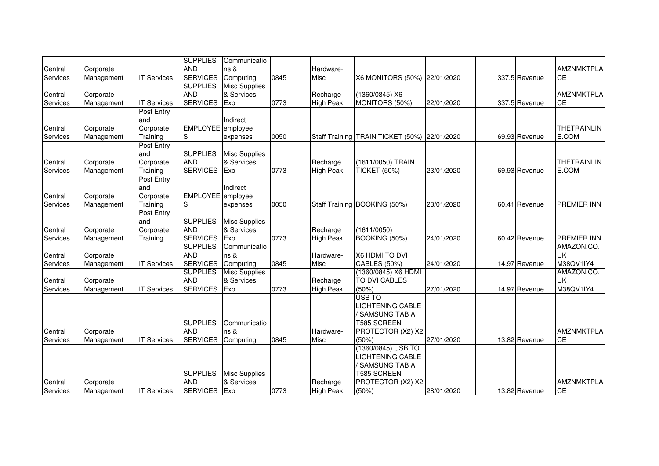|          |            |                    | <b>SUPPLIES</b>   | Communicatio         |      |                  |                                              |            |               |                    |
|----------|------------|--------------------|-------------------|----------------------|------|------------------|----------------------------------------------|------------|---------------|--------------------|
| Central  | Corporate  |                    | <b>AND</b>        | ns &                 |      | Hardware-        |                                              |            |               | <b>AMZNMKTPLA</b>  |
| Services | Management | <b>IT Services</b> | <b>SERVICES</b>   | Computing            | 0845 | Misc             | X6 MONITORS (50%) 22/01/2020                 |            | 337.5 Revenue | <b>CE</b>          |
|          |            |                    | <b>SUPPLIES</b>   | <b>Misc Supplies</b> |      |                  |                                              |            |               |                    |
| Central  | Corporate  |                    | <b>AND</b>        | & Services           |      | Recharge         | (1360/0845) X6                               |            |               | <b>AMZNMKTPLA</b>  |
| Services | Management | <b>IT Services</b> | <b>SERVICES</b>   | Exp                  | 0773 | <b>High Peak</b> | MONITORS (50%)                               | 22/01/2020 | 337.5 Revenue | <b>CE</b>          |
|          |            | Post Entry         |                   |                      |      |                  |                                              |            |               |                    |
|          |            | and                |                   | Indirect             |      |                  |                                              |            |               |                    |
| Central  | Corporate  | Corporate          | EMPLOYEE employee |                      |      |                  |                                              |            |               | THETRAINLIN        |
| Services | Management | Training           | lS                | expenses             | 0050 |                  | Staff Training TRAIN TICKET (50%) 22/01/2020 |            | 69.93 Revenue | E.COM              |
|          |            | Post Entry         |                   |                      |      |                  |                                              |            |               |                    |
|          |            | and                | <b>SUPPLIES</b>   | <b>Misc Supplies</b> |      |                  |                                              |            |               |                    |
| Central  | Corporate  | Corporate          | <b>AND</b>        | & Services           |      | Recharge         | (1611/0050) TRAIN                            |            |               | <b>THETRAINLIN</b> |
| Services | Management | Training           | <b>SERVICES</b>   | <b>Exp</b>           | 0773 | <b>High Peak</b> | <b>TICKET (50%)</b>                          | 23/01/2020 | 69.93 Revenue | E.COM              |
|          |            | Post Entry         |                   |                      |      |                  |                                              |            |               |                    |
|          |            | and                |                   | Indirect             |      |                  |                                              |            |               |                    |
| Central  | Corporate  | Corporate          | EMPLOYEE employee |                      |      |                  |                                              |            |               |                    |
| Services | Management | Training           | lS                | expenses             | 0050 |                  | Staff Training BOOKING (50%)                 | 23/01/2020 | 60.41 Revenue | <b>PREMIER INN</b> |
|          |            | Post Entry         |                   |                      |      |                  |                                              |            |               |                    |
|          |            | and                | <b>SUPPLIES</b>   | <b>Misc Supplies</b> |      |                  |                                              |            |               |                    |
|          |            |                    | <b>AND</b>        | & Services           |      |                  |                                              |            |               |                    |
| Central  | Corporate  | Corporate          |                   |                      |      | Recharge         | (1611/0050)                                  |            |               |                    |
| Services | Management | Training           | <b>SERVICES</b>   | Exp                  | 0773 | <b>High Peak</b> | BOOKING (50%)                                | 24/01/2020 | 60.42 Revenue | <b>PREMIER INN</b> |
|          |            |                    | <b>SUPPLIES</b>   | Communicatio         |      |                  |                                              |            |               | AMAZON.CO.         |
| Central  | Corporate  |                    | <b>AND</b>        | ns &                 |      | Hardware-        | X6 HDMI TO DVI                               |            |               | <b>UK</b>          |
| Services | Management | <b>IT Services</b> | <b>SERVICES</b>   | Computing            | 0845 | Misc             | CABLES (50%)                                 | 24/01/2020 | 14.97 Revenue | M38QV1IY4          |
|          |            |                    | <b>SUPPLIES</b>   | <b>Misc Supplies</b> |      |                  | (1360/0845) X6 HDMI                          |            |               | AMAZON.CO.         |
| Central  | Corporate  |                    | <b>AND</b>        | & Services           |      | Recharge         | TO DVI CABLES                                |            |               | <b>UK</b>          |
| Services | Management | <b>IT Services</b> | <b>SERVICES</b>   | Exp                  | 0773 | <b>High Peak</b> | (50%)                                        | 27/01/2020 | 14.97 Revenue | M38QV1IY4          |
|          |            |                    |                   |                      |      |                  | <b>USB TO</b>                                |            |               |                    |
|          |            |                    |                   |                      |      |                  | <b>LIGHTENING CABLE</b>                      |            |               |                    |
|          |            |                    |                   |                      |      |                  | <b>SAMSUNG TAB A</b>                         |            |               |                    |
|          |            |                    | <b>SUPPLIES</b>   | Communicatio         |      |                  | <b>T585 SCREEN</b>                           |            |               |                    |
| Central  | Corporate  |                    | <b>AND</b>        | ns &                 |      | Hardware-        | PROTECTOR (X2) X2                            |            |               | <b>AMZNMKTPLA</b>  |
| Services | Management | <b>IT Services</b> | <b>SERVICES</b>   | Computing            | 0845 | Misc             | (50%)                                        | 27/01/2020 | 13.82 Revenue | <b>CE</b>          |
|          |            |                    |                   |                      |      |                  | (1360/0845) USB TO                           |            |               |                    |
|          |            |                    |                   |                      |      |                  | LIGHTENING CABLE                             |            |               |                    |
|          |            |                    |                   |                      |      |                  | ' SAMSUNG TAB A                              |            |               |                    |
|          |            |                    | <b>SUPPLIES</b>   | <b>Misc Supplies</b> |      |                  | T585 SCREEN                                  |            |               |                    |
| Central  | Corporate  |                    | <b>AND</b>        | & Services           |      | Recharge         | PROTECTOR (X2) X2                            |            |               | <b>AMZNMKTPLA</b>  |
| Services | Management | <b>IT Services</b> | <b>SERVICES</b>   | Exp                  | 0773 | <b>High Peak</b> | (50%)                                        | 28/01/2020 | 13.82 Revenue | <b>CE</b>          |
|          |            |                    |                   |                      |      |                  |                                              |            |               |                    |